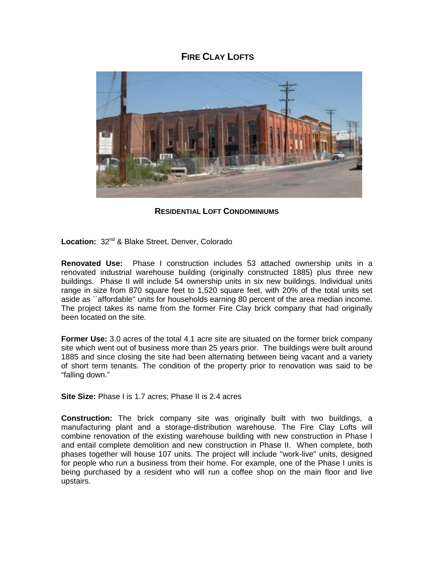## **FIRE CLAY LOFTS**



**RESIDENTIAL LOFT CONDOMINIUMS**

Location: 32<sup>nd</sup> & Blake Street, Denver, Colorado

**Renovated Use:** Phase I construction includes 53 attached ownership units in a renovated industrial warehouse building (originally constructed 1885) plus three new buildings. Phase II will include 54 ownership units in six new buildings. Individual units range in size from 870 square feet to 1,520 square feet, with 20% of the total units set aside as ``affordable'' units for households earning 80 percent of the area median income. The project takes its name from the former Fire Clay brick company that had originally been located on the site.

**Former Use:** 3.0 acres of the total 4.1 acre site are situated on the former brick company site which went out of business more than 25 years prior. The buildings were built around 1885 and since closing the site had been alternating between being vacant and a variety of short term tenants. The condition of the property prior to renovation was said to be "falling down."

**Site Size:** Phase I is 1.7 acres; Phase II is 2.4 acres

**Construction:** The brick company site was originally built with two buildings, a manufacturing plant and a storage-distribution warehouse. The Fire Clay Lofts will combine renovation of the existing warehouse building with new construction in Phase I and entail complete demolition and new construction in Phase II. When complete, both phases together will house 107 units. The project will include "work-live" units, designed for people who run a business from their home. For example, one of the Phase I units is being purchased by a resident who will run a coffee shop on the main floor and live upstairs.